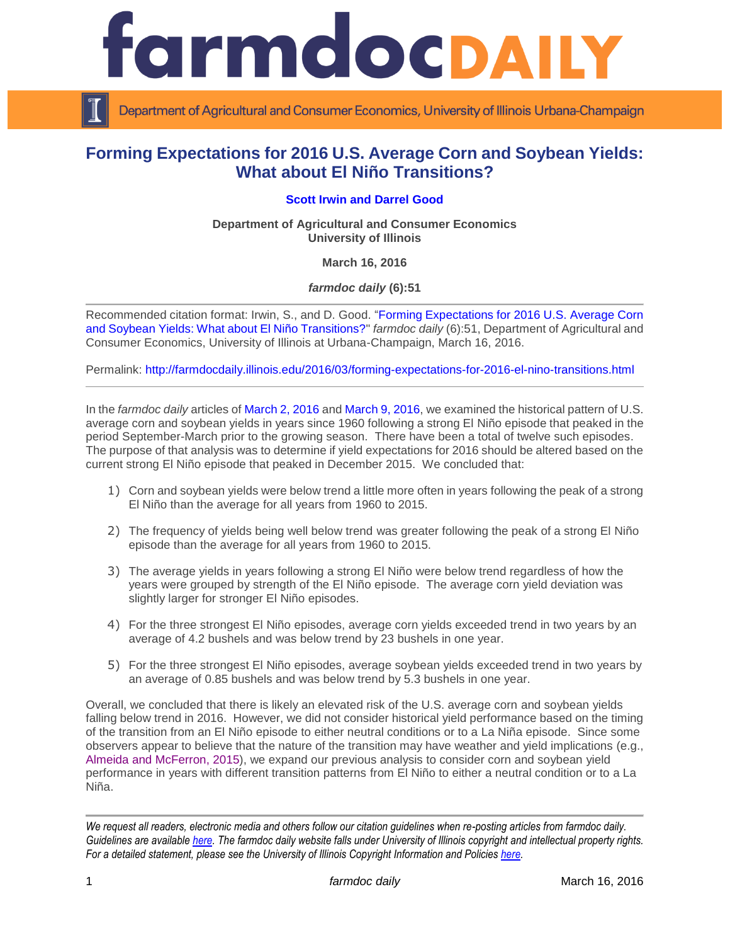

Department of Agricultural and Consumer Economics, University of Illinois Urbana-Champaign

# **Forming Expectations for 2016 U.S. Average Corn and Soybean Yields: What about El Niño Transitions?**

### **[Scott Irwin](http://www.farmdoc.illinois.edu/irwin/) and [Darrel Good](http://farmdoc.illinois.edu/good/)**

**Department of Agricultural and Consumer Economics University of Illinois**

**March 16, 2016**

*farmdoc daily* **(6):51**

Recommended citation format: Irwin, S., and D. Good. ["Forming Expectations for 2016 U.S. Average Corn](http://farmdocdaily.illinois.edu/2016/03/forming-expectations-for-2016-el-nino-transitions.html)  [and Soybean Yields: What about El Niño Transitions?"](http://farmdocdaily.illinois.edu/2016/03/forming-expectations-for-2016-el-nino-transitions.html) *farmdoc daily* (6):51, Department of Agricultural and Consumer Economics, University of Illinois at Urbana-Champaign, March 16, 2016.

Permalink: <http://farmdocdaily.illinois.edu/2016/03/forming-expectations-for-2016-el-nino-transitions.html>

In the *farmdoc daily* articles of [March 2, 2016](http://farmdocdaily.illinois.edu/2016/03/expectations-for-2016-us-average-corn-yield.html) and [March 9, 2016,](http://farmdocdaily.illinois.edu/2016/03/expectations-for-2016-us-average-soybean-yield.html) we examined the historical pattern of U.S. average corn and soybean yields in years since 1960 following a strong El Niño episode that peaked in the period September-March prior to the growing season. There have been a total of twelve such episodes. The purpose of that analysis was to determine if yield expectations for 2016 should be altered based on the current strong El Niño episode that peaked in December 2015. We concluded that:

- 1) Corn and soybean yields were below trend a little more often in years following the peak of a strong El Niño than the average for all years from 1960 to 2015.
- 2) The frequency of yields being well below trend was greater following the peak of a strong El Niño episode than the average for all years from 1960 to 2015.
- 3) The average yields in years following a strong El Niño were below trend regardless of how the years were grouped by strength of the El Niño episode. The average corn yield deviation was slightly larger for stronger El Niño episodes.
- 4) For the three strongest El Niño episodes, average corn yields exceeded trend in two years by an average of 4.2 bushels and was below trend by 23 bushels in one year.
- 5) For the three strongest El Niño episodes, average soybean yields exceeded trend in two years by an average of 0.85 bushels and was below trend by 5.3 bushels in one year.

Overall, we concluded that there is likely an elevated risk of the U.S. average corn and soybean yields falling below trend in 2016. However, we did not consider historical yield performance based on the timing of the transition from an El Niño episode to either neutral conditions or to a La Niña episode. Since some observers appear to believe that the nature of the transition may have weather and yield implications (e.g., Almeida [and McFerron, 2015\)](http://www.bloomberg.com/news/articles/2015-11-13/forget-el-nino-la-nina-may-turn-u-s-grain-markets-upside-down), we expand our previous analysis to consider corn and soybean yield performance in years with different transition patterns from El Niño to either a neutral condition or to a La Niña.

*We request all readers, electronic media and others follow our citation guidelines when re-posting articles from farmdoc daily. Guidelines are available [here.](http://farmdocdaily.illinois.edu/citationguide.html) The farmdoc daily website falls under University of Illinois copyright and intellectual property rights. For a detailed statement, please see the University of Illinois Copyright Information and Policies [here.](http://www.cio.illinois.edu/policies/copyright/)*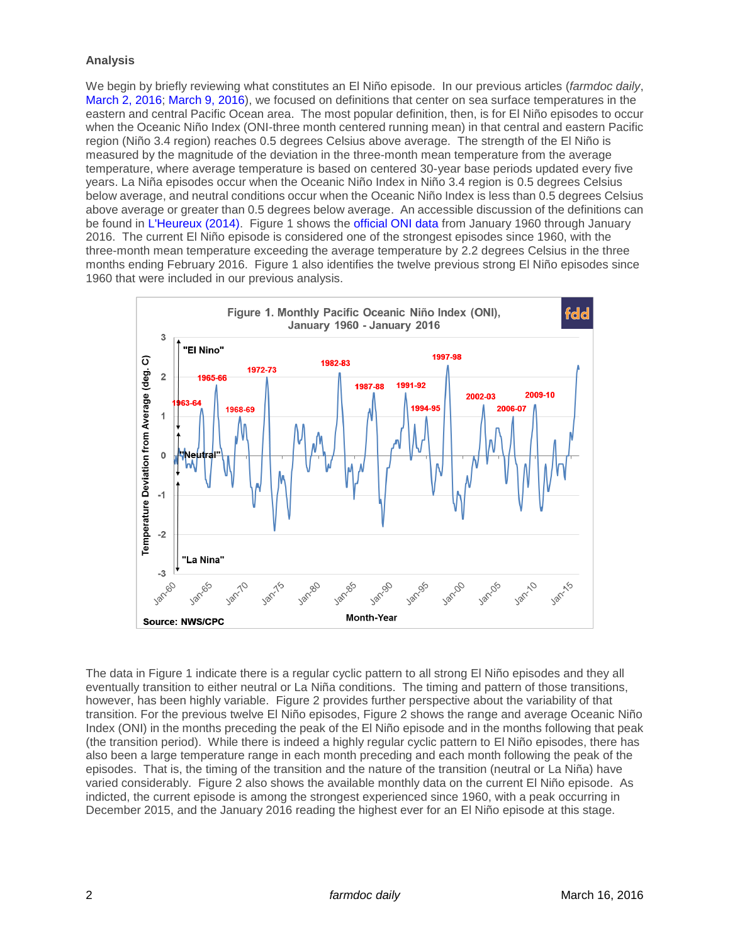#### **Analysis**

We begin by briefly reviewing what constitutes an El Niño episode. In our previous articles (*farmdoc daily*, [March 2, 2016;](http://farmdocdaily.illinois.edu/2016/03/expectations-for-2016-us-average-corn-yield.html) [March 9, 2016\)](http://farmdocdaily.illinois.edu/2016/03/expectations-for-2016-us-average-soybean-yield.html), we focused on definitions that center on sea surface temperatures in the eastern and central Pacific Ocean area. The most popular definition, then, is for El Niño episodes to occur when the Oceanic Niño Index (ONI-three month centered running mean) in that central and eastern Pacific region (Niño 3.4 region) reaches 0.5 degrees Celsius above average. The strength of the El Niño is measured by the magnitude of the deviation in the three-month mean temperature from the average temperature, where average temperature is based on centered 30-year base periods updated every five years. La Niña episodes occur when the Oceanic Niño Index in Niño 3.4 region is 0.5 degrees Celsius below average, and neutral conditions occur when the Oceanic Niño Index is less than 0.5 degrees Celsius above average or greater than 0.5 degrees below average. An accessible discussion of the definitions can be found in [L'Heureux \(2014\).](https://www.climate.gov/news-features/blogs/enso/what-el-ni%C3%B1o%E2%80%93southern-oscillation-enso-nutshell) Figure 1 shows the [official ONI data](http://www.cpc.ncep.noaa.gov/products/analysis_monitoring/ensostuff/ensoyears.shtml) from January 1960 through January 2016. The current El Niño episode is considered one of the strongest episodes since 1960, with the three-month mean temperature exceeding the average temperature by 2.2 degrees Celsius in the three months ending February 2016. Figure 1 also identifies the twelve previous strong El Niño episodes since 1960 that were included in our previous analysis.



The data in Figure 1 indicate there is a regular cyclic pattern to all strong El Niño episodes and they all eventually transition to either neutral or La Niña conditions. The timing and pattern of those transitions, however, has been highly variable. Figure 2 provides further perspective about the variability of that transition. For the previous twelve El Niño episodes, Figure 2 shows the range and average Oceanic Niño Index (ONI) in the months preceding the peak of the El Niño episode and in the months following that peak (the transition period). While there is indeed a highly regular cyclic pattern to El Niño episodes, there has also been a large temperature range in each month preceding and each month following the peak of the episodes. That is, the timing of the transition and the nature of the transition (neutral or La Niña) have varied considerably. Figure 2 also shows the available monthly data on the current El Niño episode. As indicted, the current episode is among the strongest experienced since 1960, with a peak occurring in December 2015, and the January 2016 reading the highest ever for an El Niño episode at this stage.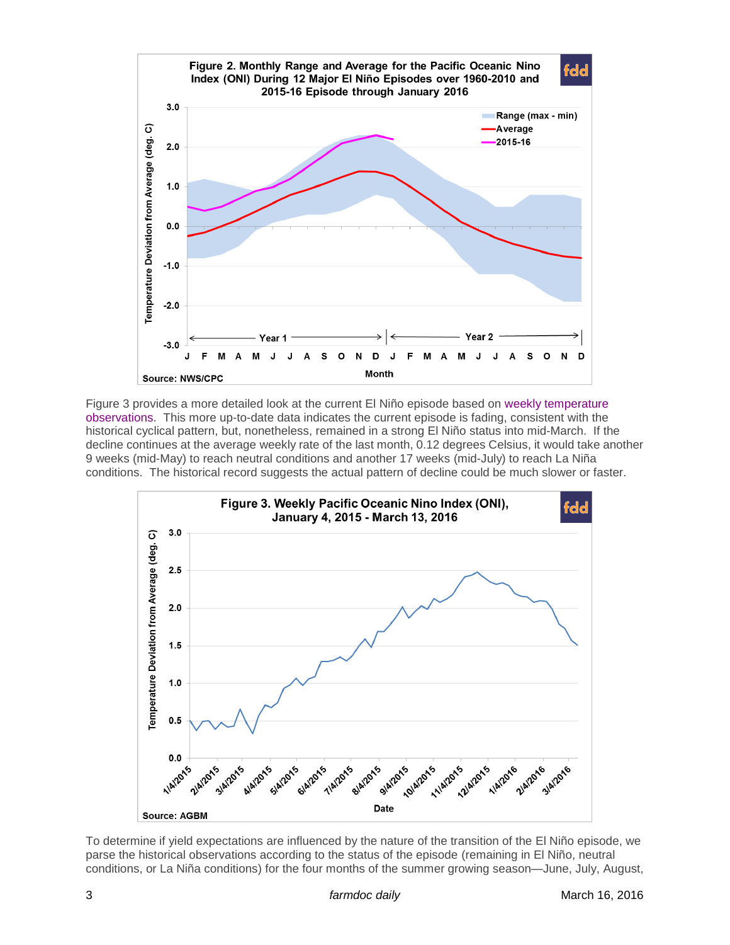

Figure 3 provides a more detailed look at the current El Niño episode based on [weekly temperature](http://www.bom.gov.au/climate/enso/nino_3.4.txt)  [observations.](http://www.bom.gov.au/climate/enso/nino_3.4.txt) This more up-to-date data indicates the current episode is fading, consistent with the historical cyclical pattern, but, nonetheless, remained in a strong El Niño status into mid-March. If the decline continues at the average weekly rate of the last month, 0.12 degrees Celsius, it would take another 9 weeks (mid-May) to reach neutral conditions and another 17 weeks (mid-July) to reach La Niña conditions. The historical record suggests the actual pattern of decline could be much slower or faster.



To determine if yield expectations are influenced by the nature of the transition of the El Niño episode, we parse the historical observations according to the status of the episode (remaining in El Niño, neutral conditions, or La Niña conditions) for the four months of the summer growing season—June, July, August,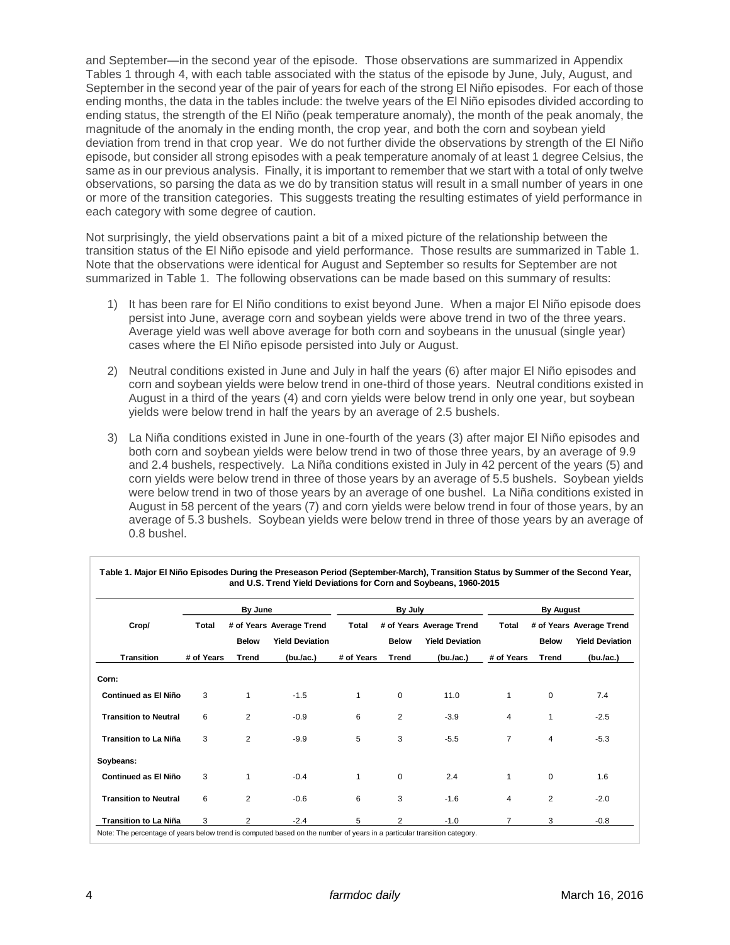and September—in the second year of the episode. Those observations are summarized in Appendix Tables 1 through 4, with each table associated with the status of the episode by June, July, August, and September in the second year of the pair of years for each of the strong El Niño episodes. For each of those ending months, the data in the tables include: the twelve years of the El Niño episodes divided according to ending status, the strength of the El Niño (peak temperature anomaly), the month of the peak anomaly, the magnitude of the anomaly in the ending month, the crop year, and both the corn and soybean yield deviation from trend in that crop year. We do not further divide the observations by strength of the El Niño episode, but consider all strong episodes with a peak temperature anomaly of at least 1 degree Celsius, the same as in our previous analysis. Finally, it is important to remember that we start with a total of only twelve observations, so parsing the data as we do by transition status will result in a small number of years in one or more of the transition categories. This suggests treating the resulting estimates of yield performance in each category with some degree of caution.

Not surprisingly, the yield observations paint a bit of a mixed picture of the relationship between the transition status of the El Niño episode and yield performance. Those results are summarized in Table 1. Note that the observations were identical for August and September so results for September are not summarized in Table 1. The following observations can be made based on this summary of results:

- 1) It has been rare for El Niño conditions to exist beyond June. When a major El Niño episode does persist into June, average corn and soybean yields were above trend in two of the three years. Average yield was well above average for both corn and soybeans in the unusual (single year) cases where the El Niño episode persisted into July or August.
- 2) Neutral conditions existed in June and July in half the years (6) after major El Niño episodes and corn and soybean yields were below trend in one-third of those years. Neutral conditions existed in August in a third of the years (4) and corn yields were below trend in only one year, but soybean yields were below trend in half the years by an average of 2.5 bushels.
- 3) La Niña conditions existed in June in one-fourth of the years (3) after major El Niño episodes and both corn and soybean yields were below trend in two of those three years, by an average of 9.9 and 2.4 bushels, respectively. La Niña conditions existed in July in 42 percent of the years (5) and corn yields were below trend in three of those years by an average of 5.5 bushels. Soybean yields were below trend in two of those years by an average of one bushel. La Niña conditions existed in August in 58 percent of the years (7) and corn yields were below trend in four of those years, by an average of 5.3 bushels. Soybean yields were below trend in three of those years by an average of 0.8 bushel.

| Crop/                        |            | By June        |                          |              | By July        |                          | <b>By August</b> |              |                          |
|------------------------------|------------|----------------|--------------------------|--------------|----------------|--------------------------|------------------|--------------|--------------------------|
|                              | Total      |                | # of Years Average Trend | <b>Total</b> |                | # of Years Average Trend | Total            |              | # of Years Average Trend |
|                              |            | <b>Below</b>   | <b>Yield Deviation</b>   |              | <b>Below</b>   | <b>Yield Deviation</b>   |                  | <b>Below</b> | <b>Yield Deviation</b>   |
| <b>Transition</b>            | # of Years | Trend          | (bu./ac.)                | # of Years   | Trend          | (bu./ac.)                | # of Years       | Trend        | (bu./ac.)                |
| Corn:                        |            |                |                          |              |                |                          |                  |              |                          |
| <b>Continued as El Niño</b>  | 3          | 1              | $-1.5$                   | 1            | $\mathbf 0$    | 11.0                     | 1                | $\Omega$     | 7.4                      |
| <b>Transition to Neutral</b> | 6          | $\overline{2}$ | $-0.9$                   | 6            | $\overline{2}$ | $-3.9$                   | 4                |              | $-2.5$                   |
| <b>Transition to La Niña</b> | 3          | $\overline{2}$ | $-9.9$                   | 5            | 3              | $-5.5$                   | $\overline{7}$   | 4            | $-5.3$                   |
| Soybeans:                    |            |                |                          |              |                |                          |                  |              |                          |
| <b>Continued as El Niño</b>  | 3          | 1              | $-0.4$                   | 1            | $\mathbf 0$    | 2.4                      | 1                | $\mathbf 0$  | 1.6                      |
| <b>Transition to Neutral</b> | 6          | $\overline{2}$ | $-0.6$                   | 6            | 3              | $-1.6$                   | 4                | 2            | $-2.0$                   |
| <b>Transition to La Niña</b> | 3          | 2              | $-2.4$                   | 5            | 2              | $-1.0$                   | 7                | 3            | $-0.8$                   |

| Table 1. Major El Niño Episodes During the Preseason Period (September-March), Transition Status by Summer of the Second Year, |
|--------------------------------------------------------------------------------------------------------------------------------|
| and U.S. Trend Yield Deviations for Corn and Soybeans, 1960-2015                                                               |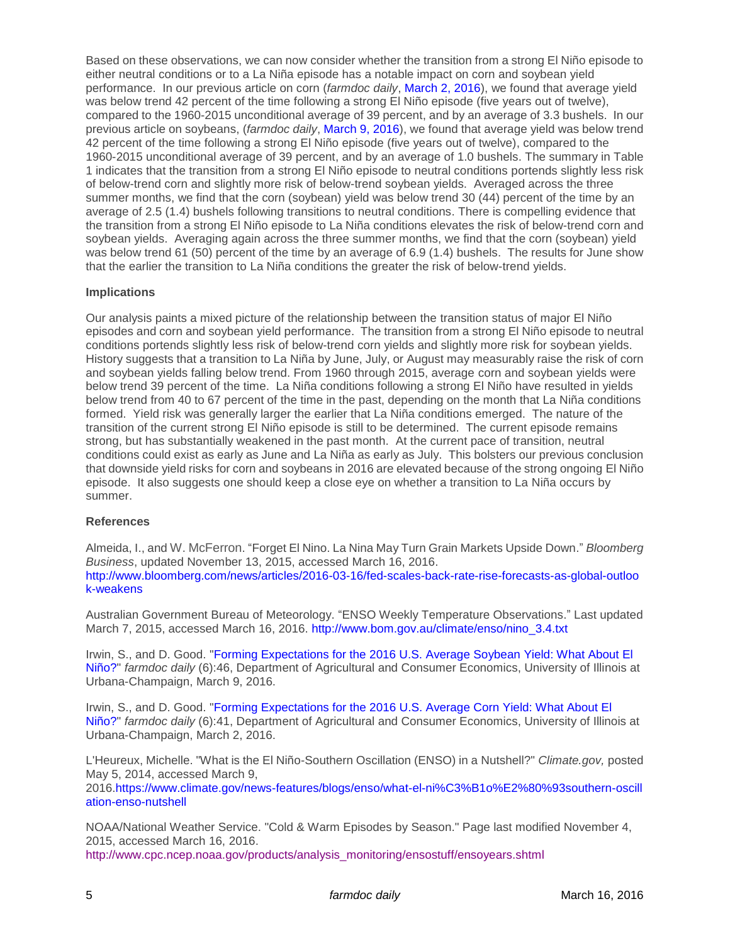Based on these observations, we can now consider whether the transition from a strong El Niño episode to either neutral conditions or to a La Niña episode has a notable impact on corn and soybean yield performance. In our previous article on corn (*farmdoc daily*, [March 2, 2016\)](http://farmdocdaily.illinois.edu/2016/03/expectations-for-2016-us-average-corn-yield.html), we found that average yield was below trend 42 percent of the time following a strong El Niño episode (five years out of twelve), compared to the 1960-2015 unconditional average of 39 percent, and by an average of 3.3 bushels. In our previous article on soybeans, (*farmdoc daily*, [March 9, 2016\)](http://farmdocdaily.illinois.edu/2016/03/expectations-for-2016-us-average-soybean-yield.html), we found that average yield was below trend 42 percent of the time following a strong El Niño episode (five years out of twelve), compared to the 1960-2015 unconditional average of 39 percent, and by an average of 1.0 bushels. The summary in Table 1 indicates that the transition from a strong El Niño episode to neutral conditions portends slightly less risk of below-trend corn and slightly more risk of below-trend soybean yields. Averaged across the three summer months, we find that the corn (soybean) yield was below trend 30 (44) percent of the time by an average of 2.5 (1.4) bushels following transitions to neutral conditions. There is compelling evidence that the transition from a strong El Niño episode to La Niña conditions elevates the risk of below-trend corn and soybean yields. Averaging again across the three summer months, we find that the corn (soybean) yield was below trend 61 (50) percent of the time by an average of 6.9 (1.4) bushels. The results for June show that the earlier the transition to La Niña conditions the greater the risk of below-trend yields.

## **Implications**

Our analysis paints a mixed picture of the relationship between the transition status of major El Niño episodes and corn and soybean yield performance. The transition from a strong El Niño episode to neutral conditions portends slightly less risk of below-trend corn yields and slightly more risk for soybean yields. History suggests that a transition to La Niña by June, July, or August may measurably raise the risk of corn and soybean yields falling below trend. From 1960 through 2015, average corn and soybean yields were below trend 39 percent of the time. La Niña conditions following a strong El Niño have resulted in yields below trend from 40 to 67 percent of the time in the past, depending on the month that La Niña conditions formed. Yield risk was generally larger the earlier that La Niña conditions emerged. The nature of the transition of the current strong El Niño episode is still to be determined. The current episode remains strong, but has substantially weakened in the past month. At the current pace of transition, neutral conditions could exist as early as June and La Niña as early as July. This bolsters our previous conclusion that downside yield risks for corn and soybeans in 2016 are elevated because of the strong ongoing El Niño episode. It also suggests one should keep a close eye on whether a transition to La Niña occurs by summer.

## **References**

Almeida, I., and W. McFerron. "Forget El Nino. La Nina May Turn Grain Markets Upside Down." *Bloomberg Business*, updated November 13, 2015, accessed March 16, 2016. [http://www.bloomberg.com/news/articles/2016-03-16/fed-scales-back-rate-rise-forecasts-as-global-outloo](http://www.bloomberg.com/news/articles/2016-03-16/fed-scales-back-rate-rise-forecasts-as-global-outlook-weakens) [k-weakens](http://www.bloomberg.com/news/articles/2016-03-16/fed-scales-back-rate-rise-forecasts-as-global-outlook-weakens)

Australian Government Bureau of Meteorology. "ENSO Weekly Temperature Observations." Last updated March 7, 2015, accessed March 16, 2016. [http://www.bom.gov.au/climate/enso/nino\\_3.4.txt](http://www.bom.gov.au/climate/enso/nino_3.4.txt)

Irwin, S., and D. Good. ["Forming Expectations for the 2016 U.S. Average Soybean Yield: What About El](http://farmdocdaily.illinois.edu/2016/03/expectations-for-2016-us-average-soybean-yield.html)  [Niño?"](http://farmdocdaily.illinois.edu/2016/03/expectations-for-2016-us-average-soybean-yield.html) *farmdoc daily* (6):46, Department of Agricultural and Consumer Economics, University of Illinois at Urbana-Champaign, March 9, 2016.

Irwin, S., and D. Good. ["Forming Expectations for the 2016 U.S. Average Corn Yield: What About El](http://farmdocdaily.illinois.edu/2016/03/expectations-for-2016-us-average-corn-yield.html)  [Niño?"](http://farmdocdaily.illinois.edu/2016/03/expectations-for-2016-us-average-corn-yield.html) *farmdoc daily* (6):41, Department of Agricultural and Consumer Economics, University of Illinois at Urbana-Champaign, March 2, 2016.

L'Heureux, Michelle. "What is the El Niño-Southern Oscillation (ENSO) in a Nutshell?" *Climate.gov,* posted May 5, 2014, accessed March 9,

2016[.https://www.climate.gov/news-features/blogs/enso/what-el-ni%C3%B1o%E2%80%93southern-oscill](https://www.climate.gov/news-features/blogs/enso/what-el-ni%C3%B1o%E2%80%93southern-oscillation-enso-nutshell) [ation-enso-nutshell](https://www.climate.gov/news-features/blogs/enso/what-el-ni%C3%B1o%E2%80%93southern-oscillation-enso-nutshell)

NOAA/National Weather Service. "Cold & Warm Episodes by Season." Page last modified November 4, 2015, accessed March 16, 2016.

[http://www.cpc.ncep.noaa.gov/products/analysis\\_monitoring/ensostuff/ensoyears.shtml](http://www.cpc.ncep.noaa.gov/products/analysis_monitoring/ensostuff/ensoyears.shtml)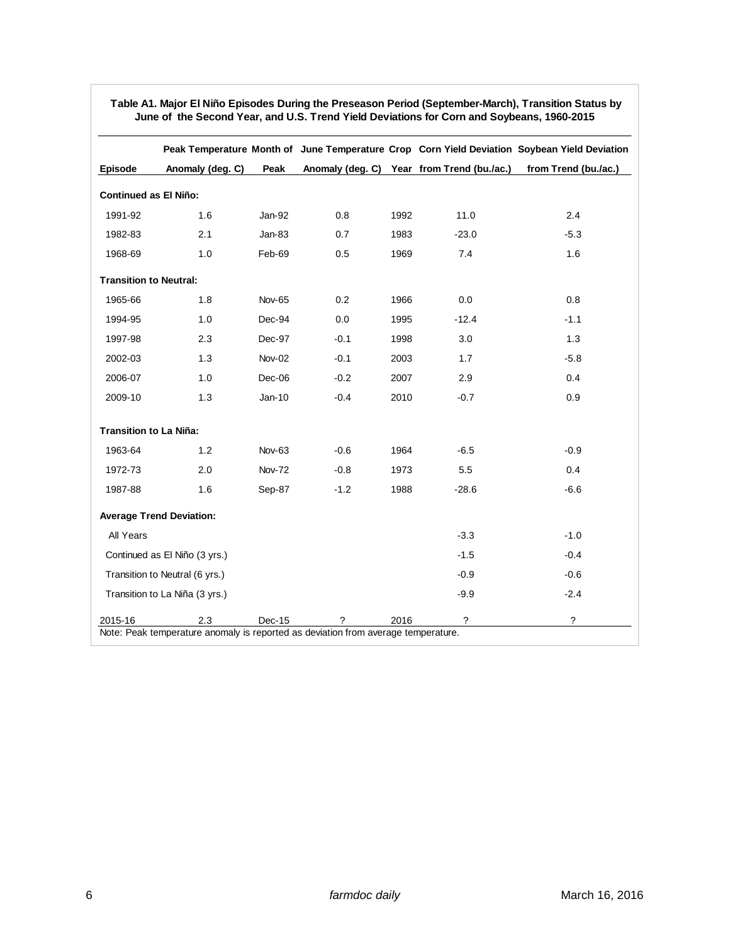| <b>Episode</b><br><b>Continued as El Niño:</b><br>1991-92<br>1982-83 | Anomaly (deg. C)<br>1.6<br>2.1<br>1.0 | Peak<br>Jan-92<br>$Jan-83$ | 0.8    |      | Anomaly (deg. C) Year from Trend (bu./ac.) | from Trend (bu./ac.) |
|----------------------------------------------------------------------|---------------------------------------|----------------------------|--------|------|--------------------------------------------|----------------------|
|                                                                      |                                       |                            |        |      |                                            |                      |
|                                                                      |                                       |                            |        |      |                                            |                      |
|                                                                      |                                       |                            |        | 1992 | 11.0                                       | 2.4                  |
|                                                                      |                                       |                            | 0.7    | 1983 | $-23.0$                                    | $-5.3$               |
| 1968-69                                                              |                                       | Feb-69                     | 0.5    | 1969 | 7.4                                        | 1.6                  |
| <b>Transition to Neutral:</b>                                        |                                       |                            |        |      |                                            |                      |
| 1965-66                                                              | 1.8                                   | <b>Nov-65</b>              | 0.2    | 1966 | 0.0                                        | 0.8                  |
| 1994-95                                                              | 1.0                                   | Dec-94                     | 0.0    | 1995 | $-12.4$                                    | $-1.1$               |
| 1997-98                                                              | 2.3                                   | Dec-97                     | $-0.1$ | 1998 | 3.0                                        | 1.3                  |
| 2002-03                                                              | 1.3                                   | Nov-02                     | $-0.1$ | 2003 | 1.7                                        | $-5.8$               |
| 2006-07                                                              | 1.0                                   | Dec-06                     | $-0.2$ | 2007 | 2.9                                        | 0.4                  |
| 2009-10                                                              | 1.3                                   | $Jan-10$                   | $-0.4$ | 2010 | $-0.7$                                     | 0.9                  |
| <b>Transition to La Niña:</b>                                        |                                       |                            |        |      |                                            |                      |
| 1963-64                                                              | 1.2                                   | <b>Nov-63</b>              | $-0.6$ | 1964 | $-6.5$                                     | $-0.9$               |
| 1972-73                                                              | 2.0                                   | <b>Nov-72</b>              | $-0.8$ | 1973 | 5.5                                        | 0.4                  |
| 1987-88                                                              | 1.6                                   | Sep-87                     | $-1.2$ | 1988 | $-28.6$                                    | $-6.6$               |
| <b>Average Trend Deviation:</b>                                      |                                       |                            |        |      |                                            |                      |
| All Years                                                            |                                       |                            |        |      | $-3.3$                                     | $-1.0$               |
| Continued as El Niño (3 yrs.)                                        |                                       |                            |        |      | $-1.5$                                     | $-0.4$               |
| Transition to Neutral (6 yrs.)                                       |                                       |                            |        |      | $-0.9$                                     | $-0.6$               |
| Transition to La Niña (3 yrs.)                                       |                                       |                            |        |      | $-9.9$                                     | $-2.4$               |
| 2015-16                                                              | 2.3                                   | Dec-15                     | ?      | 2016 | $\tilde{?}$                                | ?                    |

#### **Table A1. Major El Niño Episodes During the Preseason Period (September-March), Transition Status by June of the Second Year, and U.S. Trend Yield Deviations for Corn and Soybeans, 1960-2015**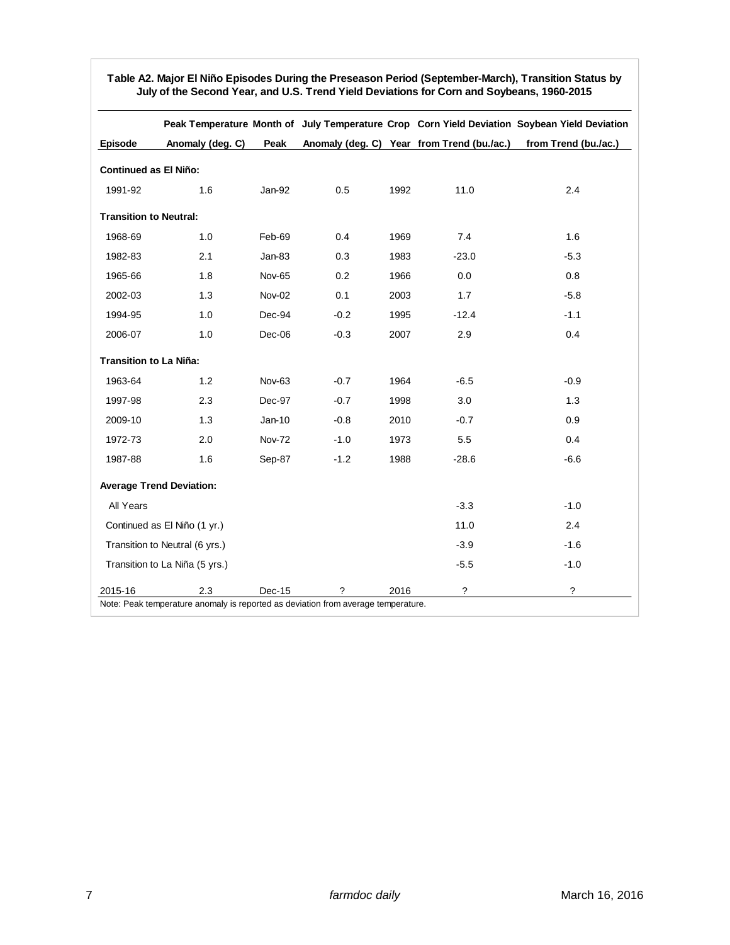|                                 |                  |               |        |      |                                            | Peak Temperature Month of July Temperature Crop Corn Yield Deviation Soybean Yield Deviation |
|---------------------------------|------------------|---------------|--------|------|--------------------------------------------|----------------------------------------------------------------------------------------------|
| <b>Episode</b>                  | Anomaly (deg. C) | Peak          |        |      | Anomaly (deg. C) Year from Trend (bu./ac.) | from Trend (bu./ac.)                                                                         |
| <b>Continued as El Niño:</b>    |                  |               |        |      |                                            |                                                                                              |
| 1991-92                         | 1.6              | Jan-92        | 0.5    | 1992 | 11.0                                       | 2.4                                                                                          |
| <b>Transition to Neutral:</b>   |                  |               |        |      |                                            |                                                                                              |
| 1968-69                         | 1.0              | Feb-69        | 0.4    | 1969 | 7.4                                        | 1.6                                                                                          |
| 1982-83                         | 2.1              | $Jan-83$      | 0.3    | 1983 | $-23.0$                                    | $-5.3$                                                                                       |
| 1965-66                         | 1.8              | <b>Nov-65</b> | 0.2    | 1966 | 0.0                                        | 0.8                                                                                          |
| 2002-03                         | 1.3              | <b>Nov-02</b> | 0.1    | 2003 | 1.7                                        | $-5.8$                                                                                       |
| 1994-95                         | 1.0              | Dec-94        | $-0.2$ | 1995 | $-12.4$                                    | $-1.1$                                                                                       |
| 2006-07                         | 1.0              | Dec-06        | $-0.3$ | 2007 | 2.9                                        | 0.4                                                                                          |
| <b>Transition to La Niña:</b>   |                  |               |        |      |                                            |                                                                                              |
| 1963-64                         | 1.2              | Nov-63        | $-0.7$ | 1964 | $-6.5$                                     | $-0.9$                                                                                       |
| 1997-98                         | 2.3              | Dec-97        | $-0.7$ | 1998 | 3.0                                        | 1.3                                                                                          |
| 2009-10                         | 1.3              | $Jan-10$      | $-0.8$ | 2010 | $-0.7$                                     | 0.9                                                                                          |
| 1972-73                         | 2.0              | <b>Nov-72</b> | $-1.0$ | 1973 | 5.5                                        | 0.4                                                                                          |
| 1987-88                         | 1.6              | Sep-87        | $-1.2$ | 1988 | $-28.6$                                    | $-6.6$                                                                                       |
| <b>Average Trend Deviation:</b> |                  |               |        |      |                                            |                                                                                              |
| All Years                       |                  |               |        |      | $-3.3$                                     | $-1.0$                                                                                       |
| Continued as El Niño (1 yr.)    |                  |               |        |      | 11.0                                       | 2.4                                                                                          |
| Transition to Neutral (6 yrs.)  |                  |               |        |      | $-3.9$                                     | $-1.6$                                                                                       |
| Transition to La Niña (5 yrs.)  |                  |               |        |      | $-5.5$                                     | $-1.0$                                                                                       |
| 2015-16                         | 2.3              | Dec-15        | ?      | 2016 | ?                                          | ?                                                                                            |

#### **Table A2. Major El Niño Episodes During the Preseason Period (September-March), Transition Status by July of the Second Year, and U.S. Trend Yield Deviations for Corn and Soybeans, 1960-2015**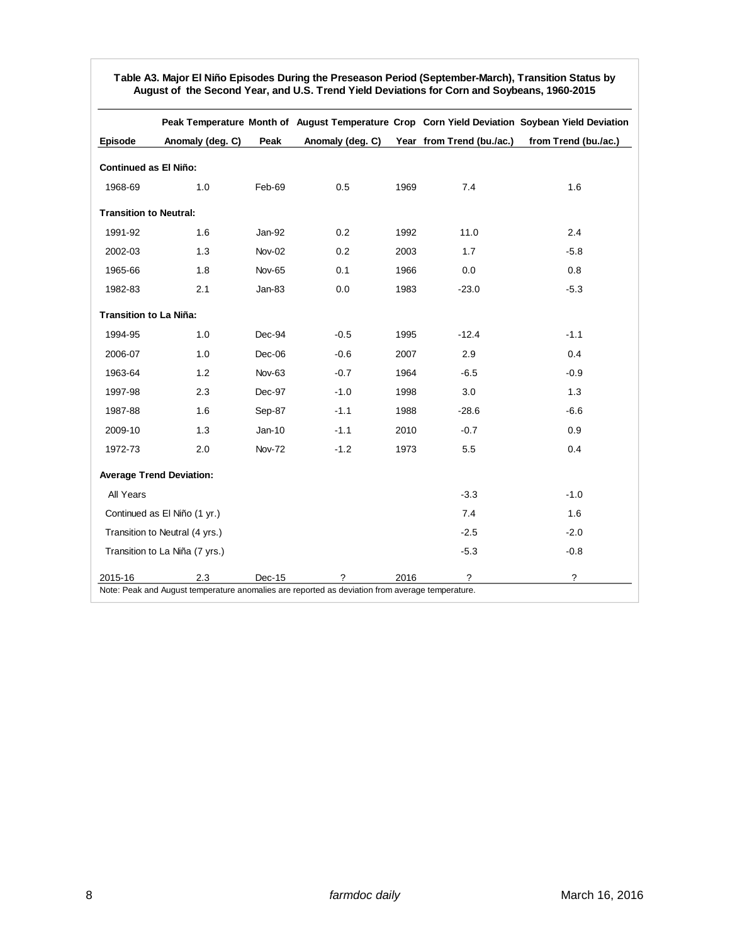|                                 |                  |               |                  |      |                           | Peak Temperature Month of August Temperature Crop Corn Yield Deviation Soybean Yield Deviation |
|---------------------------------|------------------|---------------|------------------|------|---------------------------|------------------------------------------------------------------------------------------------|
| <b>Episode</b>                  | Anomaly (deg. C) | Peak          | Anomaly (deg. C) |      | Year from Trend (bu./ac.) | from Trend (bu./ac.)                                                                           |
| <b>Continued as El Niño:</b>    |                  |               |                  |      |                           |                                                                                                |
| 1968-69                         | 1.0              | Feb-69        | 0.5              | 1969 | 7.4                       | 1.6                                                                                            |
| <b>Transition to Neutral:</b>   |                  |               |                  |      |                           |                                                                                                |
| 1991-92                         | 1.6              | Jan-92        | 0.2              | 1992 | 11.0                      | 2.4                                                                                            |
| 2002-03                         | 1.3              | <b>Nov-02</b> | 0.2              | 2003 | 1.7                       | $-5.8$                                                                                         |
| 1965-66                         | 1.8              | Nov-65        | 0.1              | 1966 | 0.0                       | $0.8\,$                                                                                        |
| 1982-83                         | 2.1              | Jan-83        | 0.0              | 1983 | $-23.0$                   | $-5.3$                                                                                         |
| <b>Transition to La Niña:</b>   |                  |               |                  |      |                           |                                                                                                |
| 1994-95                         | 1.0              | Dec-94        | $-0.5$           | 1995 | $-12.4$                   | $-1.1$                                                                                         |
| 2006-07                         | 1.0              | $Dec-06$      | $-0.6$           | 2007 | 2.9                       | 0.4                                                                                            |
| 1963-64                         | 1.2              | <b>Nov-63</b> | $-0.7$           | 1964 | $-6.5$                    | $-0.9$                                                                                         |
| 1997-98                         | 2.3              | Dec-97        | $-1.0$           | 1998 | 3.0                       | 1.3                                                                                            |
| 1987-88                         | 1.6              | Sep-87        | $-1.1$           | 1988 | $-28.6$                   | $-6.6$                                                                                         |
| 2009-10                         | 1.3              | $Jan-10$      | $-1.1$           | 2010 | $-0.7$                    | 0.9                                                                                            |
| 1972-73                         | 2.0              | <b>Nov-72</b> | $-1.2$           | 1973 | 5.5                       | 0.4                                                                                            |
| <b>Average Trend Deviation:</b> |                  |               |                  |      |                           |                                                                                                |
| All Years                       |                  |               |                  |      | $-3.3$                    | $-1.0$                                                                                         |
| Continued as El Niño (1 yr.)    |                  |               |                  |      | 7.4                       | 1.6                                                                                            |
| Transition to Neutral (4 yrs.)  |                  |               |                  |      | $-2.5$                    | $-2.0$                                                                                         |
| Transition to La Niña (7 yrs.)  |                  |               |                  |      | $-5.3$                    | $-0.8$                                                                                         |
| 2015-16                         | 2.3              | Dec-15        | ?                | 2016 | ?                         | ?                                                                                              |

**Table A3. Major El Niño Episodes During the Preseason Period (September-March), Transition Status by August of the Second Year, and U.S. Trend Yield Deviations for Corn and Soybeans, 1960-2015**